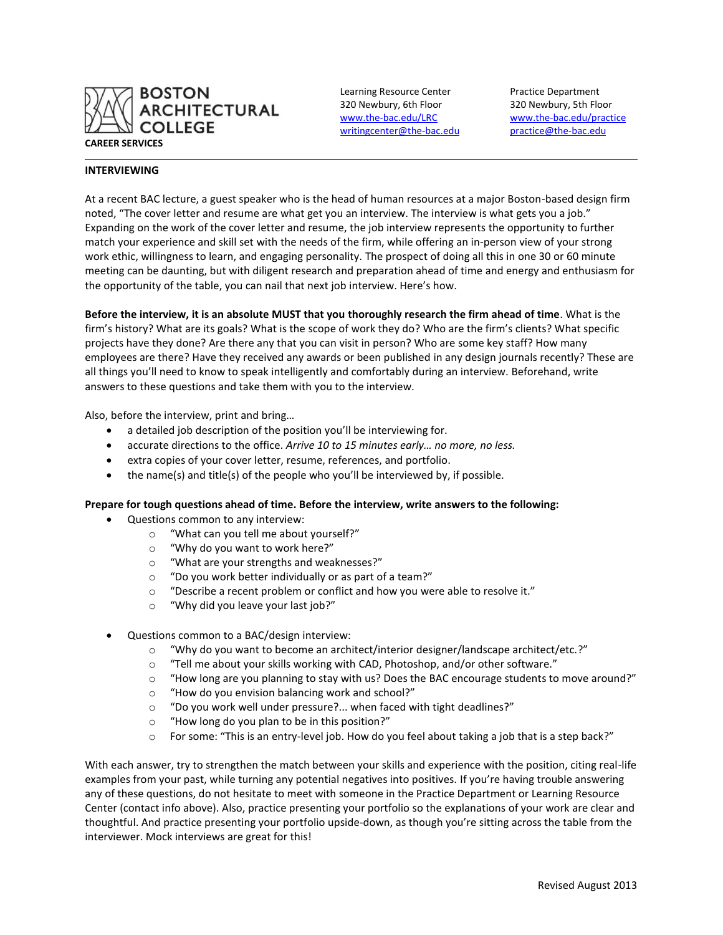

Learning Resource Center Practice Department 320 Newbury, 6th Floor 320 Newbury, 5th Floor [writingcenter@the-bac.edu](mailto:writingcenter@the-bac.edu) [practice@the-bac.edu](mailto:practice@the-bac.edu)

[www.the-bac.edu/LRC](http://www.the-bac.edu/LRC) [www.the-bac.edu/practice](http://www.the-bac.edu/practice)

## **INTERVIEWING**

At a recent BAC lecture, a guest speaker who is the head of human resources at a major Boston-based design firm noted, "The cover letter and resume are what get you an interview. The interview is what gets you a job." Expanding on the work of the cover letter and resume, the job interview represents the opportunity to further match your experience and skill set with the needs of the firm, while offering an in-person view of your strong work ethic, willingness to learn, and engaging personality. The prospect of doing all this in one 30 or 60 minute meeting can be daunting, but with diligent research and preparation ahead of time and energy and enthusiasm for the opportunity of the table, you can nail that next job interview. Here's how.

**Before the interview, it is an absolute MUST that you thoroughly research the firm ahead of time**. What is the firm's history? What are its goals? What is the scope of work they do? Who are the firm's clients? What specific projects have they done? Are there any that you can visit in person? Who are some key staff? How many employees are there? Have they received any awards or been published in any design journals recently? These are all things you'll need to know to speak intelligently and comfortably during an interview. Beforehand, write answers to these questions and take them with you to the interview.

Also, before the interview, print and bring…

- a detailed job description of the position you'll be interviewing for.
- accurate directions to the office. *Arrive 10 to 15 minutes early… no more, no less.*
- extra copies of your cover letter, resume, references, and portfolio.
- the name(s) and title(s) of the people who you'll be interviewed by, if possible.

## **Prepare for tough questions ahead of time. Before the interview, write answers to the following:**

- Questions common to any interview:
	- o "What can you tell me about yourself?"
	- o "Why do you want to work here?"
	- o "What are your strengths and weaknesses?"
	- o "Do you work better individually or as part of a team?"
	- o "Describe a recent problem or conflict and how you were able to resolve it."
	- o "Why did you leave your last job?"
- Questions common to a BAC/design interview:
	- o "Why do you want to become an architect/interior designer/landscape architect/etc.?"
	- $\circ$  "Tell me about your skills working with CAD, Photoshop, and/or other software."
	- o "How long are you planning to stay with us? Does the BAC encourage students to move around?"
	- o "How do you envision balancing work and school?"
	- o "Do you work well under pressure?... when faced with tight deadlines?"
	- o "How long do you plan to be in this position?"
	- $\circ$  For some: "This is an entry-level job. How do you feel about taking a job that is a step back?"

With each answer, try to strengthen the match between your skills and experience with the position, citing real-life examples from your past, while turning any potential negatives into positives. If you're having trouble answering any of these questions, do not hesitate to meet with someone in the Practice Department or Learning Resource Center (contact info above). Also, practice presenting your portfolio so the explanations of your work are clear and thoughtful. And practice presenting your portfolio upside-down, as though you're sitting across the table from the interviewer. Mock interviews are great for this!